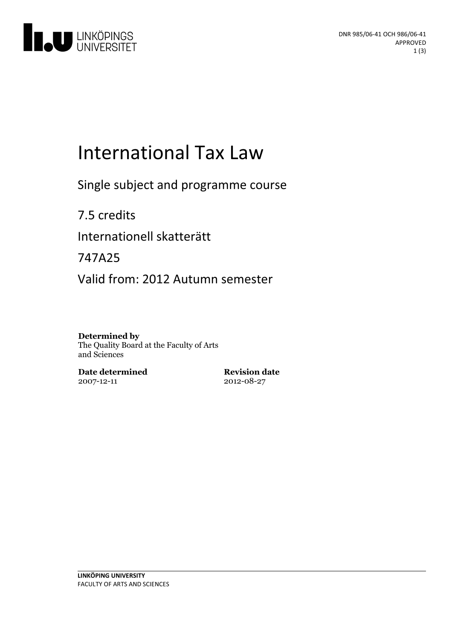

# **International Tax Law**

Single subject and programme course

7.5 credits Internationell skatterätt

747A25

Valid from: 2012 Autumn semester

#### **Determined by**

The Quality Board at the Faculty of Arts and Sciences

**Date determined** 2007-12-11

**Revision date** 2012-08-27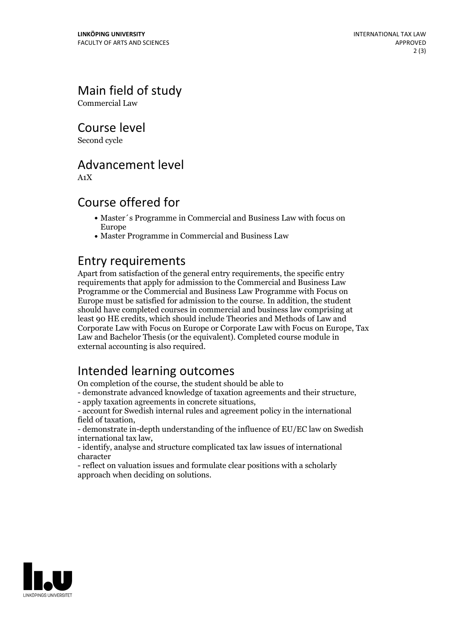Main field of study

Commercial Law

Course level

Second cycle

### Advancement level

A1X

### Course offered for

- Master´s Programme in Commercial and Business Law with focus on Europe
- Master Programme in Commercial and Business Law

### Entry requirements

Apart from satisfaction of the general entry requirements, the specific entry requirements that apply for admission to the Commercial and Business Law Programme or the Commercial and Business Law Programme with Focus on Europe must be satisfied for admission to the course. In addition, the student should have completed courses in commercial and business law comprising at least 90 HE credits, which should include Theories and Methods of Law and Corporate Law with Focus on Europe or Corporate Law with Focus on Europe, Tax Law and Bachelor Thesis (or the equivalent). Completed course module in external accounting is also required.

## Intended learning outcomes

On completion of the course, the student should be able to

- demonstrate advanced knowledge oftaxation agreements and their structure, - apply taxation agreements in concrete situations, - account for Swedish internal rules and agreement policy in the international

field of taxation,<br>- demonstrate in-depth understanding of the influence of EU/EC law on Swedish

international tax law, - identify, analyse and structure complicated tax law issues of international

character

- reflect on valuation issues and formulate clear positions with a scholarly approach when deciding on solutions.